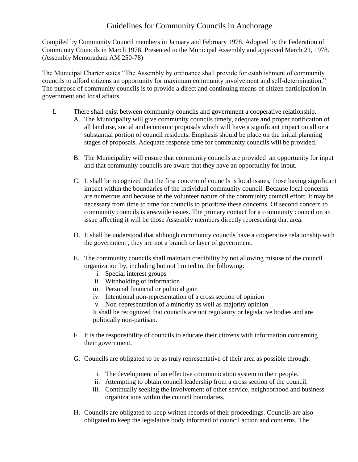## Guidelines for Community Councils in Anchorage

Compiled by Community Council members in January and February 1978. Adopted by the Federation of Community Councils in March 1978. Presented to the Municipal Assembly and approved March 21, 1978. (Assembly Memoradum AM 250-78)

The Municipal Charter states "The Assembly by ordinance shall provide for establishment of community councils to afford citizens an opportunity for maximum community involvement and self-determination." The purpose of community councils is to provide a direct and continuing means of citizen participation in government and local affairs.

- I. There shall exist between community councils and government a cooperative relationship.
	- A. The Municipality will give community councils timely, adequate and proper notification of all land use, social and economic proposals which will have a significant impact on all or a substantial portion of council residents. Emphasis should be place on the initial planning stages of proposals. Adequate response time for community councils will be provided.
		- B. The Municipality will ensure that community councils are provided an opportunity for input and that community councils are aware that they have an opportunity for input.
		- C. It shall be recognized that the first concern of councils is local issues, those having significant impact within the boundaries of the individual community council. Because local concerns are numerous and because of the volunteer nature of the community council effort, it may be necessary from time to time for councils to prioritize these concerns. Of second concern to community councils is areawide issues. The primary contact for a community council on an issue affecting it will be those Assembly members directly representing that area.
		- D. It shall be understood that although community councils have a cooperative relationship with the government , they are not a branch or layer of government.
		- E. The community councils shall maintain credibility by not allowing misuse of the council organization by, including but not limited to, the following:
			- i. Special interest groups
			- ii. Withholding of information
			- iii. Personal financial or political gain
			- iv. Intentional non-representation of a cross section of opinion
			- v. Non-representation of a minority as well as majority opinion

It shall be recognized that councils are not regulatory or legislative bodies and are politically non-partisan.

- F. It is the responsibility of councils to educate their citizens with information concerning their government.
- G. Councils are obligated to be as truly representative of their area as possible through:
	- i. The development of an effective communication system to their people.
	- ii. Attempting to obtain council leadership from a cross section of the council.
	- iii. Continually seeking the involvement of other service, neighborhood and business organizations within the council boundaries.
- H. Councils are obligated to keep written records of their proceedings. Councils are also obligated to keep the legislative body informed of council action and concerns. The